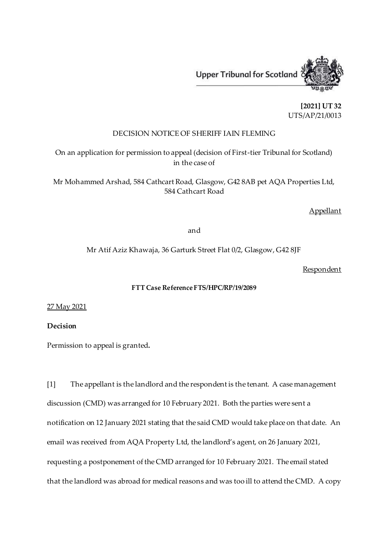

**[2021] UT 32** UTS/AP/21/0013

## DECISION NOTICE OF SHERIFF IAIN FLEMING

On an application for permission to appeal (decision of First-tier Tribunal for Scotland) in the case of

Mr Mohammed Arshad, 584 Cathcart Road, Glasgow, G42 8AB pet AQA Properties Ltd, 584 Cathcart Road

**Appellant** 

and

Mr Atif Aziz Khawaja, 36 Garturk Street Flat 0/2, Glasgow, G42 8JF

**Respondent** 

## **FTT Case Reference FTS/HPC/RP/19/2089**

27 May 2021

**Decision**

Permission to appeal is granted**.**

[1] The appellant is the landlord and the respondent is the tenant. A case management discussion (CMD) was arranged for 10 February 2021. Both the parties were sent a notification on 12 January 2021 stating that the said CMD would take place on that date. An email was received from AQA Property Ltd, the landlord's agent, on 26 January 2021, requesting a postponement of the CMD arranged for 10 February 2021. The email stated that the landlord was abroad for medical reasons and was too ill to attend the CMD. A copy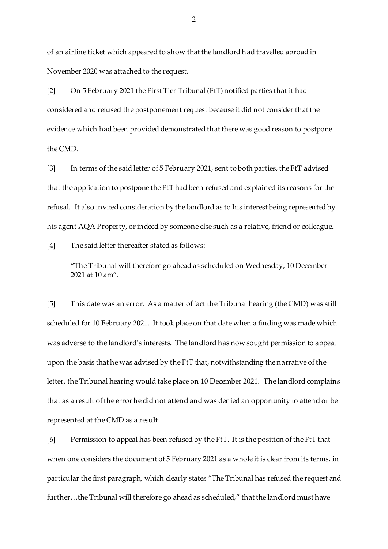of an airline ticket which appeared to show that the landlord had travelled abroad in November 2020 was attached to the request.

[2] On 5 February 2021 the First Tier Tribunal (FtT) notified parties that it had considered and refused the postponement request because it did not consider that the evidence which had been provided demonstrated that there was good reason to postpone the CMD.

[3] In terms of the said letter of 5 February 2021, sent to both parties, the FtT advised that the application to postpone the FtT had been refused and explained its reasons for the refusal. It also invited consideration by the landlord as to his interest being represented by his agent AQA Property, or indeed by someone else such as a relative, friend or colleague.

[4] The said letter thereafter stated as follows:

"The Tribunal will therefore go ahead as scheduled on Wednesday, 10 December 2021 at 10 am".

[5] This date was an error. As a matter of fact the Tribunal hearing (the CMD) was still scheduled for 10 February 2021. It took place on that date when a finding was made which was adverse to the landlord's interests. The landlord has now sought permission to appeal upon the basis that he was advised by the FtT that, notwithstanding the narrative of the letter, the Tribunal hearing would take place on 10 December 2021. The landlord complains that as a result of the error he did not attend and was denied an opportunity to attend or be represented at the CMD as a result.

[6] Permission to appeal has been refused by the FtT. It is the position of the FtT that when one considers the document of 5 February 2021 as a whole it is clear from its terms, in particular the first paragraph, which clearly states "The Tribunal has refused the request and further…the Tribunal will therefore go ahead as scheduled," that the landlord must have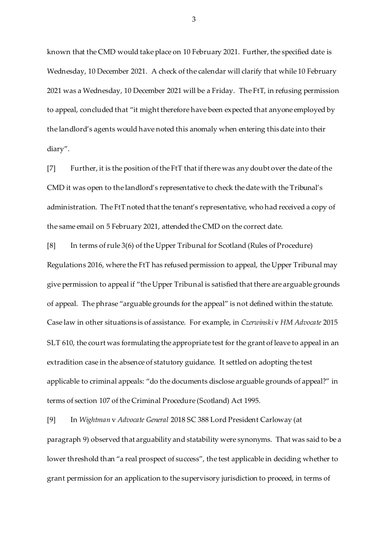known that the CMD would take place on 10 February 2021. Further, the specified date is Wednesday, 10 December 2021. A check of the calendar will clarify that while 10 February 2021 was a Wednesday, 10 December 2021 will be a Friday. The FtT, in refusing permission to appeal, concluded that "it might therefore have been expected that anyone employed by the landlord's agents would have noted this anomaly when entering this date into their diary".

[7] Further, it is the position of the FtT that if there was any doubt over the date of the CMD it was open to the landlord's representative to check the date with the Tribunal's administration. The FtT noted that the tenant's representative, who had received a copy of the same email on 5 February 2021, attended the CMD on the correct date.

[8] In terms of rule 3(6) of the Upper Tribunal for Scotland (Rules of Procedure) Regulations 2016, where the FtT has refused permission to appeal, the Upper Tribunal may give permission to appeal if "the Upper Tribunal is satisfied that there are arguable grounds of appeal. The phrase "arguable grounds for the appeal" is not defined within the statute. Case law in other situations is of assistance. For example, in *Czerwinski* v *HM Advocate* 2015 SLT 610, the court was formulating the appropriate test for the grant of leave to appeal in an extradition case in the absence of statutory guidance. It settled on adopting the test applicable to criminal appeals: "do the documents disclose arguable grounds of appeal?" in terms of section 107 of the Criminal Procedure (Scotland) Act 1995.

[9] In *Wightman* v *Advocate General* 2018 SC 388 Lord President Carloway (at paragraph 9) observed that arguability and statability were synonyms. That was said to be a lower threshold than "a real prospect of success", the test applicable in deciding whether to grant permission for an application to the supervisory jurisdiction to proceed, in terms of

3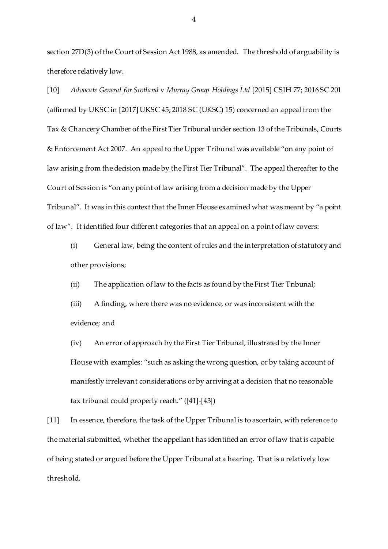section 27D(3) of the Court of Session Act 1988, as amended. The threshold of arguability is therefore relatively low.

[10] *Advocate General for Scotland* v *Murray Group Holdings Ltd* [2015] CSIH 77; 2016 SC 201 (affirmed by UKSC in [2017] UKSC 45; 2018 SC (UKSC) 15) concerned an appeal from the Tax & Chancery Chamber of the First Tier Tribunal under section 13 of the Tribunals, Courts & Enforcement Act 2007. An appeal to the Upper Tribunal was available "on any point of law arising from the decision made by the First Tier Tribunal". The appeal thereafter to the Court of Session is "on any point of law arising from a decision made by the Upper Tribunal". It was in this context that the Inner House examined what was meant by "a point of law". It identified four different categories that an appeal on a point of law covers:

(i) General law, being the content of rules and the interpretation of statutory and other provisions;

(ii) The application of law to the facts as found by the First Tier Tribunal;

(iii) A finding, where there was no evidence, or was inconsistent with the evidence; and

(iv) An error of approach by the First Tier Tribunal, illustrated by the Inner House with examples: "such as asking the wrong question, or by taking account of manifestly irrelevant considerations or by arriving at a decision that no reasonable tax tribunal could properly reach." ([41]-[43])

[11] In essence, therefore, the task of the Upper Tribunal is to ascertain, with reference to the material submitted, whether the appellant has identified an error of law that is capable of being stated or argued before the Upper Tribunal at a hearing. That is a relatively low threshold.

4